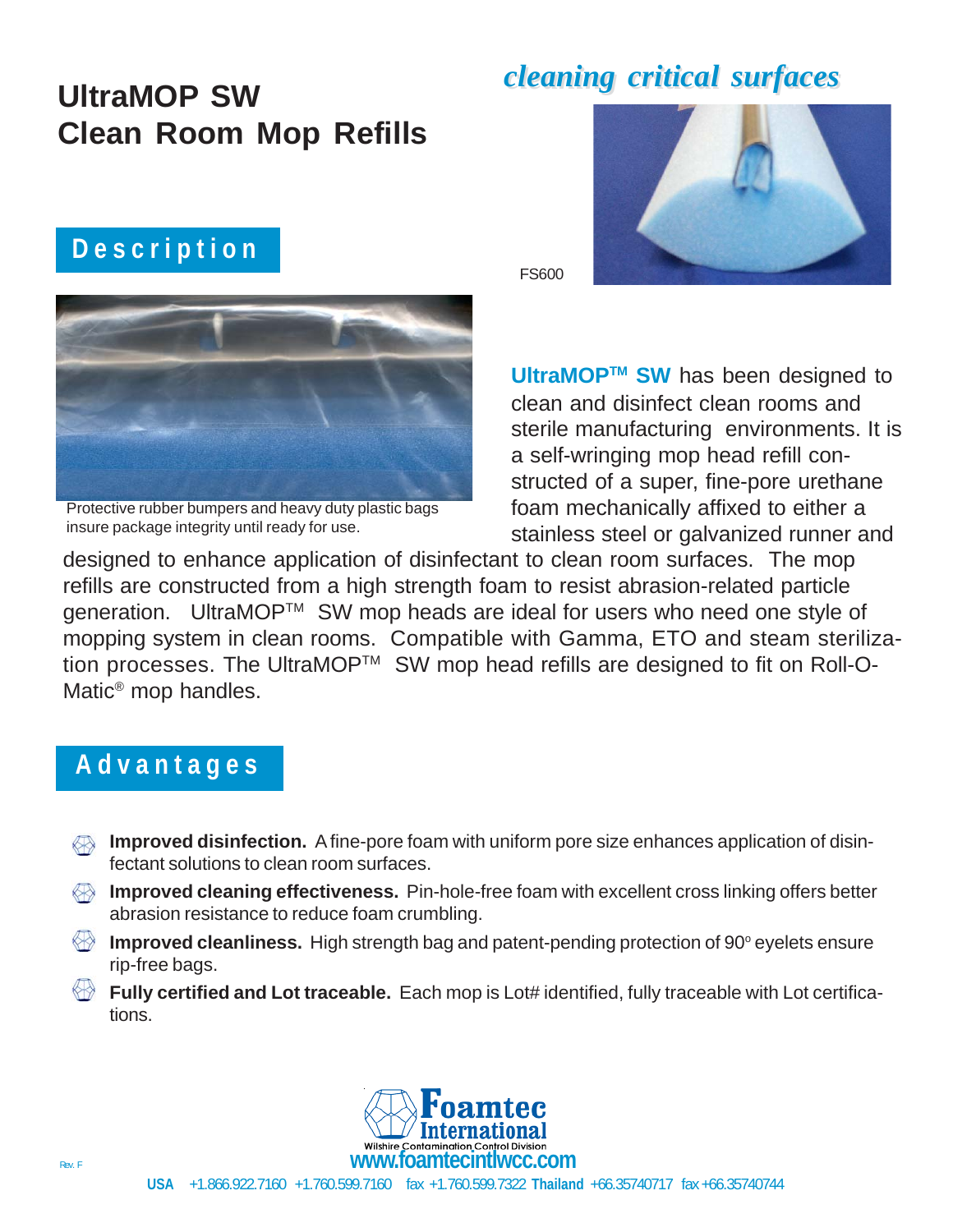## **UltraMOP SW Clean Room Mop Refills**

### **D e s c r i p t i o n**



Protective rubber bumpers and heavy duty plastic bags insure package integrity until ready for use.

## *cleaning critical surfaces cleaning critical surfaces*



FS600

**UltraMOPTM SW** has been designed to clean and disinfect clean rooms and sterile manufacturing environments. It is a self-wringing mop head refill constructed of a super, fine-pore urethane foam mechanically affixed to either a stainless steel or galvanized runner and

designed to enhance application of disinfectant to clean room surfaces. The mop refills are constructed from a high strength foam to resist abrasion-related particle generation. UltraMOP™ SW mop heads are ideal for users who need one style of mopping system in clean rooms. Compatible with Gamma, ETO and steam sterilization processes. The UltraMOP™ SW mop head refills are designed to fit on Roll-O-Matic® mop handles.

#### **A d v a n t a g e s**

- **Improved disinfection.** A fine-pore foam with uniform pore size enhances application of disinfectant solutions to clean room surfaces.
- **Improved cleaning effectiveness.** Pin-hole-free foam with excellent cross linking offers better abrasion resistance to reduce foam crumbling.
- Improved cleanliness. High strength bag and patent-pending protection of 90° eyelets ensure rip-free bags.
- **Fully certified and Lot traceable.** Each mop is Lot# identified, fully traceable with Lot certifications.